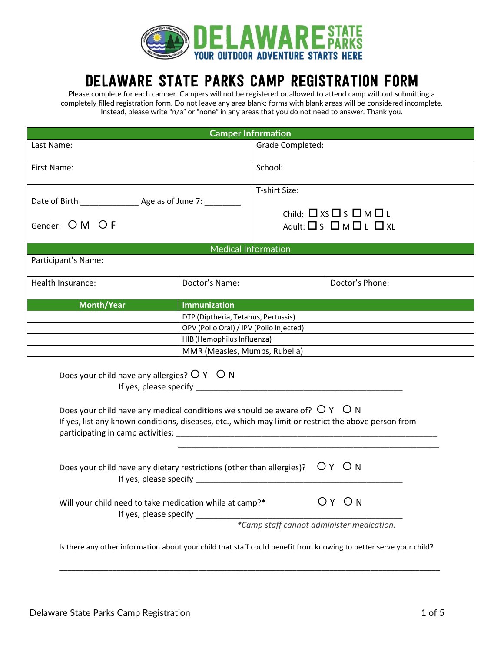

# DELAWARE STATE PARKS CAMP REGISTRATION FORM

Please complete for each camper. Campers will not be registered or allowed to attend camp without submitting a completely filled registration form. Do not leave any area blank; forms with blank areas will be considered incomplete. Instead, please write "n/a" or "none" in any areas that you do not need to answer. Thank you.

|                                                |                                         | <b>Camper Information</b>                                                                                                                                                                                                     |                 |
|------------------------------------------------|-----------------------------------------|-------------------------------------------------------------------------------------------------------------------------------------------------------------------------------------------------------------------------------|-----------------|
| Last Name:                                     |                                         | Grade Completed:                                                                                                                                                                                                              |                 |
| First Name:                                    |                                         | School:                                                                                                                                                                                                                       |                 |
| Gender: O M O F                                |                                         | T-shirt Size:<br>Child: $\Box$ XS $\Box$ S $\Box$ M $\Box$ L<br>Adult: $\Box$ S $\Box$ M $\Box$ L $\Box$ XL                                                                                                                   |                 |
|                                                |                                         | <b>Medical Information</b>                                                                                                                                                                                                    |                 |
| Participant's Name:                            |                                         |                                                                                                                                                                                                                               |                 |
| Health Insurance:                              | Doctor's Name:                          |                                                                                                                                                                                                                               | Doctor's Phone: |
| <b>Month/Year</b>                              | <b>Immunization</b>                     |                                                                                                                                                                                                                               |                 |
|                                                | DTP (Diptheria, Tetanus, Pertussis)     |                                                                                                                                                                                                                               |                 |
|                                                | OPV (Polio Oral) / IPV (Polio Injected) |                                                                                                                                                                                                                               |                 |
|                                                | HIB (Hemophilus Influenza)              |                                                                                                                                                                                                                               |                 |
|                                                | MMR (Measles, Mumps, Rubella)           |                                                                                                                                                                                                                               |                 |
| Does your child have any allergies? $OY$ $O N$ |                                         | If yes, please specify experience and the set of the set of the set of the set of the set of the set of the set of the set of the set of the set of the set of the set of the set of the set of the set of the set of the set |                 |

| Does your child have any medical conditions we should be aware of? $OY$ O N<br>If yes, list any known conditions, diseases, etc., which may limit or restrict the above person from<br>participating in camp activities: |       |  |
|--------------------------------------------------------------------------------------------------------------------------------------------------------------------------------------------------------------------------|-------|--|
| Does your child have any dietary restrictions (other than allergies)? $OY$ $ON$<br>If yes, please specify                                                                                                                |       |  |
| Will your child need to take medication while at camp?*<br>If yes, please specify                                                                                                                                        | OY ON |  |
| *Camp staff cannot administer medication.                                                                                                                                                                                |       |  |
| Is there any other information about your child that staff could benefit from knowing to better serve your child?                                                                                                        |       |  |

\_\_\_\_\_\_\_\_\_\_\_\_\_\_\_\_\_\_\_\_\_\_\_\_\_\_\_\_\_\_\_\_\_\_\_\_\_\_\_\_\_\_\_\_\_\_\_\_\_\_\_\_\_\_\_\_\_\_\_\_\_\_\_\_\_\_\_\_\_\_\_\_\_\_\_\_\_\_\_\_\_\_\_\_\_\_\_\_\_\_\_\_\_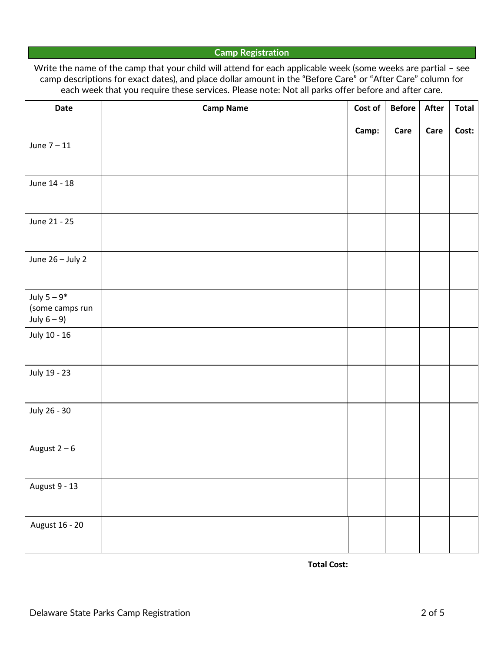## **Camp Registration**

Write the name of the camp that your child will attend for each applicable week (some weeks are partial - see camp descriptions for exact dates), and place dollar amount in the "Before Care" or "After Care" column for each week that you require these services. Please note: Not all parks offer before and after care.

| Date                            | <b>Camp Name</b> | Cost of | <b>Before</b> | After | <b>Total</b> |
|---------------------------------|------------------|---------|---------------|-------|--------------|
|                                 |                  | Camp:   | Care          | Care  | Cost:        |
| June $7 - 11$                   |                  |         |               |       |              |
|                                 |                  |         |               |       |              |
| June 14 - 18                    |                  |         |               |       |              |
|                                 |                  |         |               |       |              |
| June 21 - 25                    |                  |         |               |       |              |
|                                 |                  |         |               |       |              |
| June 26 - July 2                |                  |         |               |       |              |
|                                 |                  |         |               |       |              |
| July $5-9^*$<br>(some camps run |                  |         |               |       |              |
| July $6-9$ )                    |                  |         |               |       |              |
| July 10 - 16                    |                  |         |               |       |              |
|                                 |                  |         |               |       |              |
| July 19 - 23                    |                  |         |               |       |              |
|                                 |                  |         |               |       |              |
| July 26 - 30                    |                  |         |               |       |              |
|                                 |                  |         |               |       |              |
| August $2-6$                    |                  |         |               |       |              |
|                                 |                  |         |               |       |              |
| August 9 - 13                   |                  |         |               |       |              |
|                                 |                  |         |               |       |              |
| August 16 - 20                  |                  |         |               |       |              |
|                                 |                  |         |               |       |              |

**Total Cost:**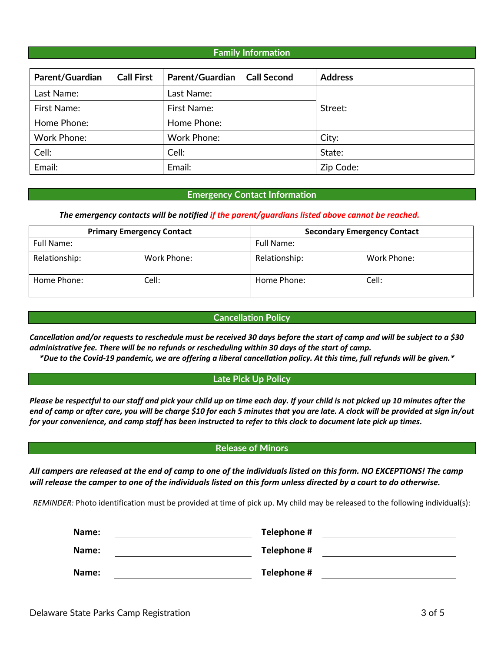## **Family Information**

| Parent/Guardian    | <b>Call First</b> | Parent/Guardian Call Second | <b>Address</b> |
|--------------------|-------------------|-----------------------------|----------------|
| Last Name:         |                   | Last Name:                  |                |
| First Name:        |                   | First Name:                 | Street:        |
| Home Phone:        |                   | Home Phone:                 |                |
| <b>Work Phone:</b> |                   | <b>Work Phone:</b>          | City:          |
| Cell:              |                   | Cell:                       | State:         |
| Email:             |                   | Email:                      | Zip Code:      |

#### **Emergency Contact Information**

#### *The emergency contacts will be notified if the parent/guardians listed above cannot be reached.*

|               | <b>Primary Emergency Contact</b> | <b>Secondary Emergency Contact</b> |             |  |
|---------------|----------------------------------|------------------------------------|-------------|--|
| Full Name:    |                                  | Full Name:                         |             |  |
| Relationship: | Work Phone:                      | Relationship:                      | Work Phone: |  |
| Home Phone:   | Cell:                            | Cell:<br>Home Phone:               |             |  |

#### **Cancellation Policy**

*Cancellation and/or requests to reschedule must be received 30 days before the start of camp and will be subject to a \$30 administrative fee. There will be no refunds or rescheduling within 30 days of the start of camp.*

 *\*Due to the Covid-19 pandemic, we are offering a liberal cancellation policy. At this time, full refunds will be given.\**

#### **Late Pick Up Policy**

*Please be respectful to our staff and pick your child up on time each day. If your child is not picked up 10 minutes after the end of camp or after care, you will be charge \$10 for each 5 minutes that you are late. A clock will be provided at sign in/out for your convenience, and camp staff has been instructed to refer to this clock to document late pick up times.* 

#### **Release of Minors**

*All campers are released at the end of camp to one of the individuals listed on this form. NO EXCEPTIONS! The camp will release the camper to one of the individuals listed on this form unless directed by a court to do otherwise.* 

*REMINDER:* Photo identification must be provided at time of pick up. My child may be released to the following individual(s):

| Name: | Telephone # |  |
|-------|-------------|--|
| Name: | Telephone # |  |
| Name: | Telephone # |  |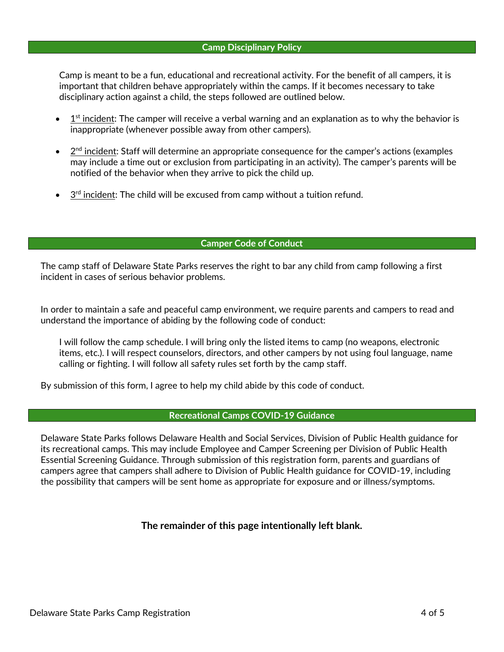## **Camp Disciplinary Policy**

Camp is meant to be a fun, educational and recreational activity. For the benefit of all campers, it is important that children behave appropriately within the camps. If it becomes necessary to take disciplinary action against a child, the steps followed are outlined below.

- $\bullet$  $1<sup>st</sup>$  incident: The camper will receive a verbal warning and an explanation as to why the behavior is inappropriate (whenever possible away from other campers).
- $\bullet$  $2<sup>nd</sup>$  incident: Staff will determine an appropriate consequence for the camper's actions (examples may include a time out or exclusion from participating in an activity). The camper's parents will be notified of the behavior when they arrive to pick the child up.
- $\bullet$   $3<sup>rd</sup>$  incident: The child will be excused from camp without a tuition refund.

# **Camper Code of Conduct**

The camp staff of Delaware State Parks reserves the right to bar any child from camp following a first incident in cases of serious behavior problems.

In order to maintain a safe and peaceful camp environment, we require parents and campers to read and understand the importance of abiding by the following code of conduct:

I will follow the camp schedule. I will bring only the listed items to camp (no weapons, electronic items, etc.). I will respect counselors, directors, and other campers by not using foul language, name calling or fighting. I will follow all safety rules set forth by the camp staff.

By submission of this form, I agree to help my child abide by this code of conduct.

# **Recreational Camps COVID-19 Guidance**

Delaware State Parks follows Delaware Health and Social Services, Division of Public Health guidance for its recreational camps. This may include Employee and Camper Screening per Division of Public Health Essential Screening Guidance. Through submission of this registration form, parents and guardians of campers agree that campers shall adhere to Division of Public Health guidance for COVID-19, including the possibility that campers will be sent home as appropriate for exposure and or illness/symptoms.

# **The remainder of this page intentionally left blank.**